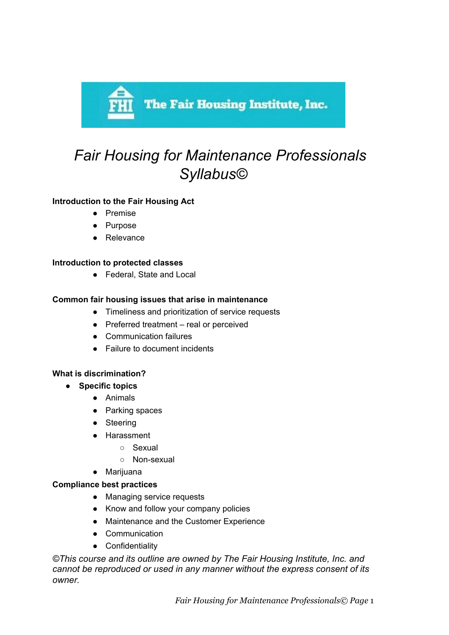

# *Fair Housing for Maintenance Professionals Syllabus©*

# **Introduction to the Fair Housing Act**

- Premise
- Purpose
- Relevance

## **Introduction to protected classes**

● Federal, State and Local

## **Common fair housing issues that arise in maintenance**

- Timeliness and prioritization of service requests
- Preferred treatment real or perceived
- Communication failures
- Failure to document incidents

# **What is discrimination?**

- **● Specific topics**
	- Animals
	- Parking spaces
	- Steering
	- Harassment
		- Sexual
		- Non-sexual
	- Marijuana

#### **Compliance best practices**

- Managing service requests
- Know and follow your company policies
- Maintenance and the Customer Experience
- Communication
- Confidentiality

*©This course and its outline are owned by The Fair Housing Institute, Inc. and cannot be reproduced or used in any manner without the express consent of its owner.*

*Fair Housing for Maintenance Professionals© Page* 1